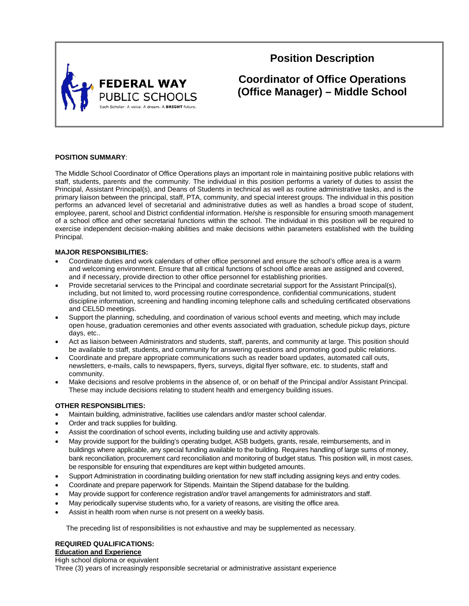

# **Position Description**

**Coordinator of Office Operations (Office Manager) – Middle School**

# **POSITION SUMMARY**:

The Middle School Coordinator of Office Operations plays an important role in maintaining positive public relations with staff, students, parents and the community. The individual in this position performs a variety of duties to assist the Principal, Assistant Principal(s), and Deans of Students in technical as well as routine administrative tasks, and is the primary liaison between the principal, staff, PTA, community, and special interest groups. The individual in this position performs an advanced level of secretarial and administrative duties as well as handles a broad scope of student, employee, parent, school and District confidential information. He/she is responsible for ensuring smooth management of a school office and other secretarial functions within the school. The individual in this position will be required to exercise independent decision-making abilities and make decisions within parameters established with the building Principal.

# **MAJOR RESPONSIBILITIES:**

- Coordinate duties and work calendars of other office personnel and ensure the school's office area is a warm and welcoming environment. Ensure that all critical functions of school office areas are assigned and covered, and if necessary, provide direction to other office personnel for establishing priorities.
- Provide secretarial services to the Principal and coordinate secretarial support for the Assistant Principal(s), including, but not limited to, word processing routine correspondence, confidential communications, student discipline information, screening and handling incoming telephone calls and scheduling certificated observations and CEL5D meetings.
- Support the planning, scheduling, and coordination of various school events and meeting, which may include open house, graduation ceremonies and other events associated with graduation, schedule pickup days, picture days, etc..
- Act as liaison between Administrators and students, staff, parents, and community at large. This position should be available to staff, students, and community for answering questions and promoting good public relations.
- Coordinate and prepare appropriate communications such as reader board updates, automated call outs, newsletters, e-mails, calls to newspapers, flyers, surveys, digital flyer software, etc. to students, staff and community.
- Make decisions and resolve problems in the absence of, or on behalf of the Principal and/or Assistant Principal. These may include decisions relating to student health and emergency building issues.

# **OTHER RESPONSIBLITIES:**

- Maintain building, administrative, facilities use calendars and/or master school calendar.
- Order and track supplies for building.
- Assist the coordination of school events, including building use and activity approvals.
- May provide support for the building's operating budget, ASB budgets, grants, resale, reimbursements, and in buildings where applicable, any special funding available to the building. Requires handling of large sums of money, bank reconciliation, procurement card reconciliation and monitoring of budget status. This position will, in most cases, be responsible for ensuring that expenditures are kept within budgeted amounts.
- Support Administration in coordinating building orientation for new staff including assigning keys and entry codes.
- Coordinate and prepare paperwork for Stipends. Maintain the Stipend database for the building.
- May provide support for conference registration and/or travel arrangements for administrators and staff.
- May periodically supervise students who, for a variety of reasons, are visiting the office area.
- Assist in health room when nurse is not present on a weekly basis.

The preceding list of responsibilities is not exhaustive and may be supplemented as necessary.

# **REQUIRED QUALIFICATIONS: Education and Experience**

High school diploma or equivalent Three (3) years of increasingly responsible secretarial or administrative assistant experience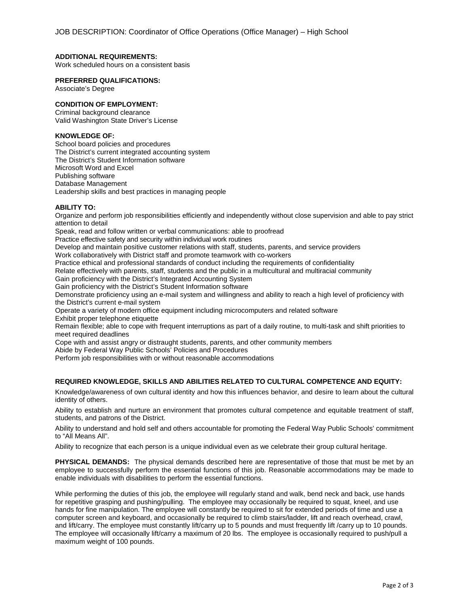## **ADDITIONAL REQUIREMENTS:**

Work scheduled hours on a consistent basis

#### **PREFERRED QUALIFICATIONS:**

Associate's Degree

## **CONDITION OF EMPLOYMENT:**

Criminal background clearance Valid Washington State Driver's License

# **KNOWLEDGE OF:**

School board policies and procedures The District's current integrated accounting system The District's Student Information software Microsoft Word and Excel Publishing software Database Management Leadership skills and best practices in managing people

## **ABILITY TO:**

Organize and perform job responsibilities efficiently and independently without close supervision and able to pay strict attention to detail

Speak, read and follow written or verbal communications: able to proofread

Practice effective safety and security within individual work routines

Develop and maintain positive customer relations with staff, students, parents, and service providers

Work collaboratively with District staff and promote teamwork with co-workers

Practice ethical and professional standards of conduct including the requirements of confidentiality

Relate effectively with parents, staff, students and the public in a multicultural and multiracial community

Gain proficiency with the District's Integrated Accounting System

Gain proficiency with the District's Student Information software

Demonstrate proficiency using an e-mail system and willingness and ability to reach a high level of proficiency with the District's current e-mail system

Operate a variety of modern office equipment including microcomputers and related software

Exhibit proper telephone etiquette

Remain flexible; able to cope with frequent interruptions as part of a daily routine, to multi-task and shift priorities to meet required deadlines

Cope with and assist angry or distraught students, parents, and other community members

Abide by Federal Way Public Schools' Policies and Procedures

Perform job responsibilities with or without reasonable accommodations

# **REQUIRED KNOWLEDGE, SKILLS AND ABILITIES RELATED TO CULTURAL COMPETENCE AND EQUITY:**

Knowledge/awareness of own cultural identity and how this influences behavior, and desire to learn about the cultural identity of others.

Ability to establish and nurture an environment that promotes cultural competence and equitable treatment of staff, students, and patrons of the District.

Ability to understand and hold self and others accountable for promoting the Federal Way Public Schools' commitment to "All Means All".

Ability to recognize that each person is a unique individual even as we celebrate their group cultural heritage.

**PHYSICAL DEMANDS:** The physical demands described here are representative of those that must be met by an employee to successfully perform the essential functions of this job. Reasonable accommodations may be made to enable individuals with disabilities to perform the essential functions.

While performing the duties of this job, the employee will regularly stand and walk, bend neck and back, use hands for repetitive grasping and pushing/pulling. The employee may occasionally be required to squat, kneel, and use hands for fine manipulation. The employee will constantly be required to sit for extended periods of time and use a computer screen and keyboard, and occasionally be required to climb stairs/ladder, lift and reach overhead, crawl, and lift/carry. The employee must constantly lift/carry up to 5 pounds and must frequently lift /carry up to 10 pounds. The employee will occasionally lift/carry a maximum of 20 lbs. The employee is occasionally required to push/pull a maximum weight of 100 pounds.